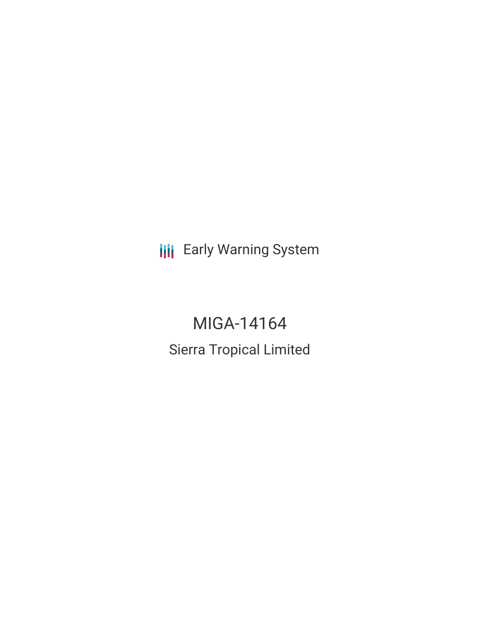**III** Early Warning System

# MIGA-14164 Sierra Tropical Limited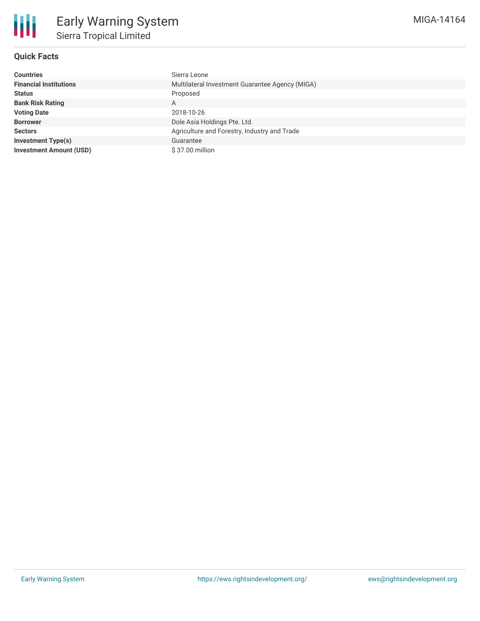

## **Quick Facts**

| <b>Countries</b>               | Sierra Leone                                    |
|--------------------------------|-------------------------------------------------|
| <b>Financial Institutions</b>  | Multilateral Investment Guarantee Agency (MIGA) |
| <b>Status</b>                  | Proposed                                        |
| <b>Bank Risk Rating</b>        | A                                               |
| <b>Voting Date</b>             | 2018-10-26                                      |
| <b>Borrower</b>                | Dole Asia Holdings Pte. Ltd.                    |
| <b>Sectors</b>                 | Agriculture and Forestry, Industry and Trade    |
| <b>Investment Type(s)</b>      | Guarantee                                       |
| <b>Investment Amount (USD)</b> | \$37.00 million                                 |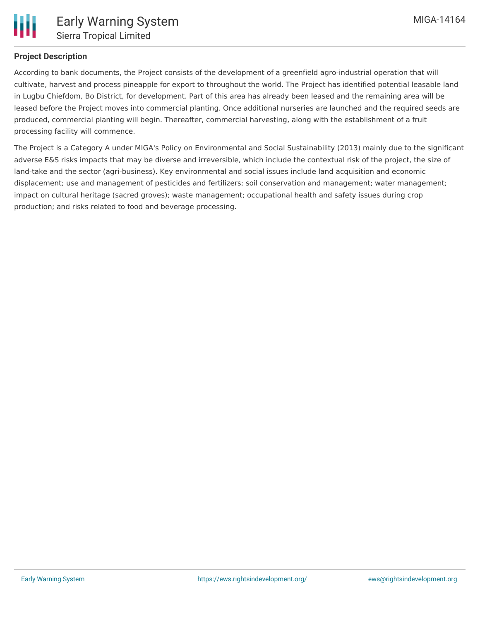

### **Project Description**

According to bank documents, the Project consists of the development of a greenfield agro-industrial operation that will cultivate, harvest and process pineapple for export to throughout the world. The Project has identified potential leasable land in Lugbu Chiefdom, Bo District, for development. Part of this area has already been leased and the remaining area will be leased before the Project moves into commercial planting. Once additional nurseries are launched and the required seeds are produced, commercial planting will begin. Thereafter, commercial harvesting, along with the establishment of a fruit processing facility will commence.

The Project is a Category A under MIGA's Policy on Environmental and Social Sustainability (2013) mainly due to the significant adverse E&S risks impacts that may be diverse and irreversible, which include the contextual risk of the project, the size of land-take and the sector (agri-business). Key environmental and social issues include land acquisition and economic displacement; use and management of pesticides and fertilizers; soil conservation and management; water management; impact on cultural heritage (sacred groves); waste management; occupational health and safety issues during crop production; and risks related to food and beverage processing.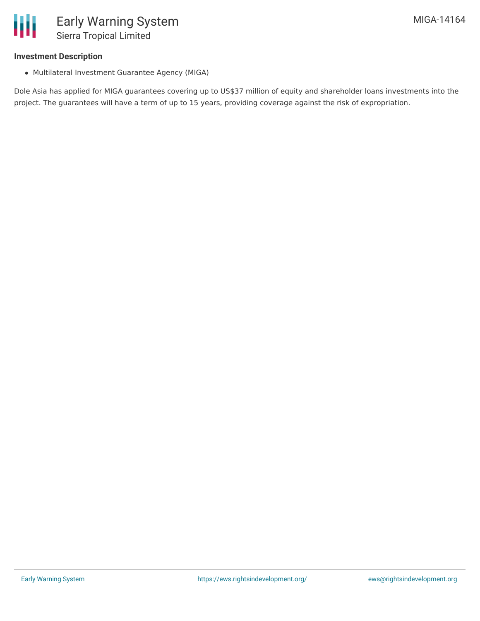### **Investment Description**

Ш

Multilateral Investment Guarantee Agency (MIGA)

Dole Asia has applied for MIGA guarantees covering up to US\$37 million of equity and shareholder loans investments into the project. The guarantees will have a term of up to 15 years, providing coverage against the risk of expropriation.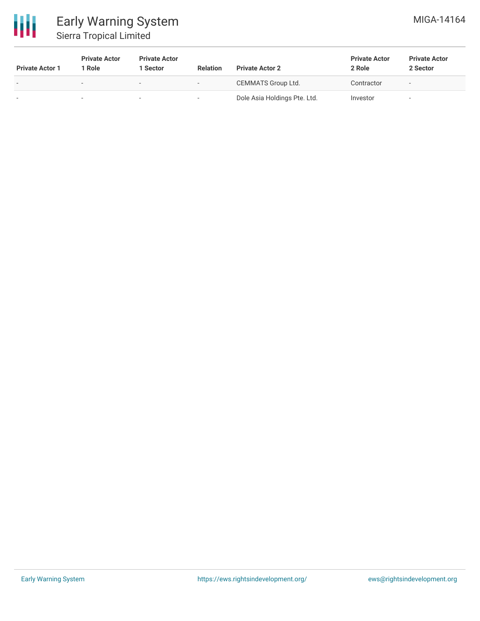

# Early Warning System Sierra Tropical Limited

| <b>Private Actor 1</b> | <b>Private Actor</b><br>1 Role | <b>Private Actor</b><br>1 Sector | <b>Relation</b>          | <b>Private Actor 2</b>       | <b>Private Actor</b><br>2 Role | <b>Private Actor</b><br>2 Sector |
|------------------------|--------------------------------|----------------------------------|--------------------------|------------------------------|--------------------------------|----------------------------------|
|                        |                                | $\overline{\phantom{0}}$         | $\overline{\phantom{0}}$ | CEMMATS Group Ltd.           | Contractor                     | $\overline{\phantom{a}}$         |
|                        |                                | $\sim$                           | $\overline{\phantom{a}}$ | Dole Asia Holdings Pte. Ltd. | Investor                       |                                  |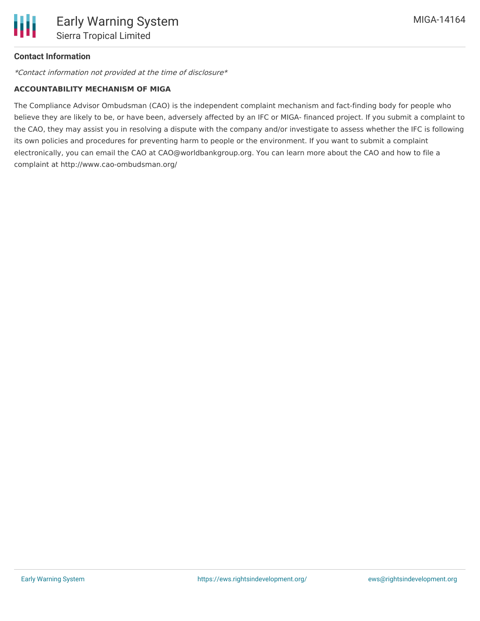### **Contact Information**

\*Contact information not provided at the time of disclosure\*

### **ACCOUNTABILITY MECHANISM OF MIGA**

The Compliance Advisor Ombudsman (CAO) is the independent complaint mechanism and fact-finding body for people who believe they are likely to be, or have been, adversely affected by an IFC or MIGA- financed project. If you submit a complaint to the CAO, they may assist you in resolving a dispute with the company and/or investigate to assess whether the IFC is following its own policies and procedures for preventing harm to people or the environment. If you want to submit a complaint electronically, you can email the CAO at CAO@worldbankgroup.org. You can learn more about the CAO and how to file a complaint at http://www.cao-ombudsman.org/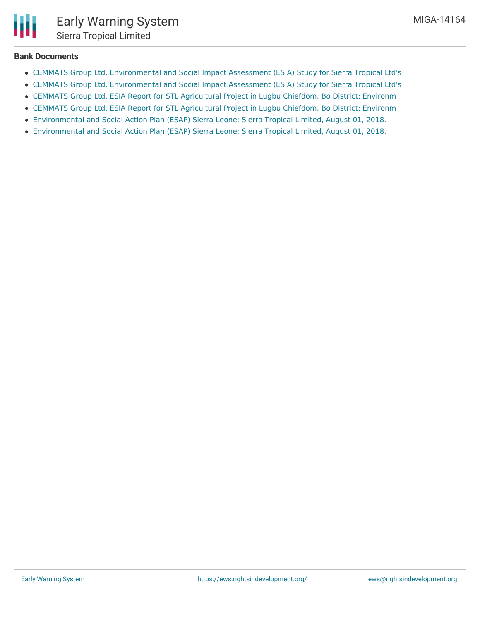## **Bank Documents**

- CEMMATS Group Ltd, [Environmental](http://www.miga.org/sites/default/files/2018/STL_ESIA-Final_Draft_Report_6-25.pdf) and Social Impact Assessment (ESIA) Study for Sierra Tropical Ltd's
- CEMMATS Group Ltd, [Environmental](http://www.miga.org/sites/default/files/2018/STL_ESIA-Final_Draft_Report_6-25.pdf) and Social Impact Assessment (ESIA) Study for Sierra Tropical Ltd's
- CEMMATS Group Ltd, ESIA Report for STL [Agricultural](https://www.miga.org/Documents/SPGDisclosures/STL ESMP  Final Draft Report- 6-26.pdf) Project in Lugbu Chiefdom, Bo District: Environm
- CEMMATS Group Ltd, ESIA Report for STL [Agricultural](https://www.miga.org/Documents/SPGDisclosures/STL ESMP  Final Draft Report- 6-26.pdf) Project in Lugbu Chiefdom, Bo District: Environm
- [Environmental](https://www.miga.org/Documents/SPGDisclosures/Final Sierra Tropical Ltd ESAP 08.01.2018.pdf) and Social Action Plan (ESAP) Sierra Leone: Sierra Tropical Limited, August 01, 2018.
- [Environmental](https://www.miga.org/Documents/SPGDisclosures/Final Sierra Tropical Ltd ESAP 08.01.2018.pdf) and Social Action Plan (ESAP) Sierra Leone: Sierra Tropical Limited, August 01, 2018.